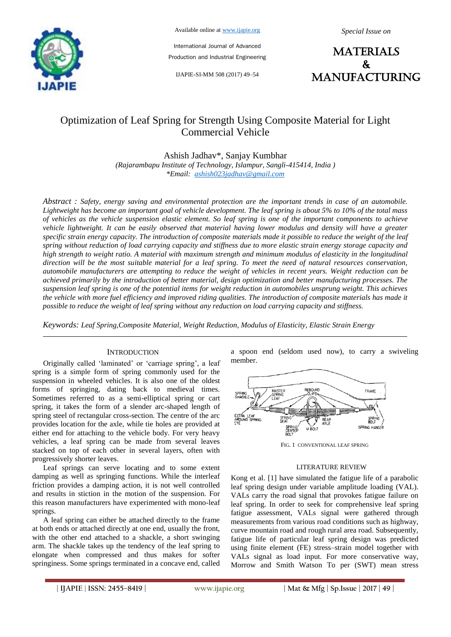

Available online at www.ijapie.org

*Special Issue on*

International Journal of Advanced Production and Industrial Engineering

IJAPIE-SI-MM 508 (2017) 49–54

**MATERIALS**  $\mathbf{k}$ manufacturing

# Optimization of Leaf Spring for Strength Using Composite Material for Light Commercial Vehicle

Ashish Jadhav\*, Sanjay Kumbhar

*(Rajarambapu Institute of Technology, Islampur, Sangli-415414, India ) \*Email: ashish023jadhav@gmail.com*

*Abstract : Safety, energy saving and environmental protection are the important trends in case of an automobile. Lightweight has become an important goal of vehicle development. The leaf spring is about 5% to 10% of the total mass of vehicles as the vehicle suspension elastic element. So leaf spring is one of the important components to achieve vehicle lightweight. It can be easily observed that material having lower modulus and density will have a greater specific strain energy capacity. The introduction of composite materials made it possible to reduce the weight of the leaf spring without reduction of load carrying capacity and stiffness due to more elastic strain energy storage capacity and high strength to weight ratio. A material with maximum strength and minimum modulus of elasticity in the longitudinal direction will be the most suitable material for a leaf spring. To meet the need of natural resources conservation, automobile manufacturers are attempting to reduce the weight of vehicles in recent years. Weight reduction can be achieved primarily by the introduction of better material, design optimization and better manufacturing processes. The suspension leaf spring is one of the potential items for weight reduction in automobiles unsprung weight. This achieves the vehicle with more fuel efficiency and improved riding qualities. The introduction of composite materials has made it possible to reduce the weight of leaf spring without any reduction on load carrying capacity and stiffness.* 

*Keywords: Leaf Spring,Composite Material, Weight Reduction, Modulus of Elasticity, Elastic Strain Energy*

### **INTRODUCTION**

Originally called "laminated" or "carriage spring", a leaf spring is a simple form of spring commonly used for the suspension in wheeled vehicles. It is also one of the oldest forms of springing, dating back to medieval times. Sometimes referred to as a semi-elliptical spring or cart spring, it takes the form of a slender arc-shaped length of spring steel of rectangular cross-section. The centre of the arc provides location for the axle, while tie holes are provided at either end for attaching to the vehicle body. For very heavy vehicles, a leaf spring can be made from several leaves stacked on top of each other in several layers, often with progressively shorter leaves.

Leaf springs can serve locating and to some extent damping as well as springing functions. While the interleaf friction provides a damping action, it is not well controlled and results in stiction in the motion of the suspension. For this reason manufacturers have experimented with mono-leaf springs.

A leaf spring can either be attached directly to the frame at both ends or attached directly at one end, usually the front, with the other end attached to a shackle, a short swinging arm. The shackle takes up the tendency of the leaf spring to elongate when compressed and thus makes for softer springiness. Some springs terminated in a concave end, called a spoon end (seldom used now), to carry a swiveling member.



FIG. 1 CONVENTIONAL LEAF SPRING

#### LITERATURE REVIEW

Kong et al. [1] have simulated the fatigue life of a parabolic leaf spring design under variable amplitude loading (VAL). VALs carry the road signal that provokes fatigue failure on leaf spring. In order to seek for comprehensive leaf spring fatigue assessment, VALs signal were gathered through measurements from various road conditions such as highway, curve mountain road and rough rural area road. Subsequently, fatigue life of particular leaf spring design was predicted using finite element (FE) stress–strain model together with VALs signal as load input. For more conservative way, Morrow and Smith Watson To per (SWT) mean stress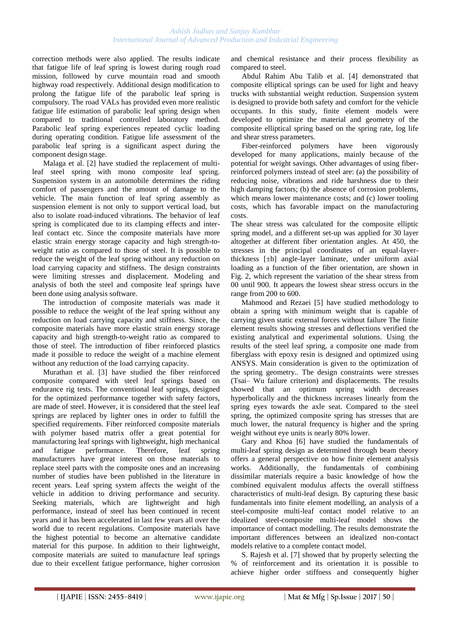#### *Ashish Jadhav and Sanjay Kumbhar International Journal of Advanced Production and Industrial Engineering*

correction methods were also applied. The results indicate that fatigue life of leaf spring is lowest during rough road mission, followed by curve mountain road and smooth highway road respectively. Additional design modification to prolong the fatigue life of the parabolic leaf spring is compulsory. The road VALs has provided even more realistic fatigue life estimation of parabolic leaf spring design when compared to traditional controlled laboratory method. Parabolic leaf spring experiences repeated cyclic loading during operating condition. Fatigue life assessment of the parabolic leaf spring is a significant aspect during the component design stage.

Malaga et al. [2] have studied the replacement of multileaf steel spring with mono composite leaf spring. Suspension system in an automobile determines the riding comfort of passengers and the amount of damage to the vehicle. The main function of leaf spring assembly as suspension element is not only to support vertical load, but also to isolate road-induced vibrations. The behavior of leaf spring is complicated due to its clamping effects and interleaf contact etc. Since the composite materials have more elastic strain energy storage capacity and high strength-toweight ratio as compared to those of steel. It is possible to reduce the weight of the leaf spring without any reduction on load carrying capacity and stiffness. The design constraints were limiting stresses and displacement. Modeling and analysis of both the steel and composite leaf springs have been done using analysis software.

The introduction of composite materials was made it possible to reduce the weight of the leaf spring without any reduction on load carrying capacity and stiffness. Since, the composite materials have more elastic strain energy storage capacity and high strength-to-weight ratio as compared to those of steel. The introduction of fiber reinforced plastics made it possible to reduce the weight of a machine element without any reduction of the load carrying capacity.

Murathan et al. [3] have studied the fiber reinforced composite compared with steel leaf springs based on endurance rig tests. The conventional leaf springs, designed for the optimized performance together with safety factors, are made of steel. However, it is considered that the steel leaf springs are replaced by lighter ones in order to fulfill the specified requirements. Fiber reinforced composite materials with polymer based matrix offer a great potential for manufacturing leaf springs with lightweight, high mechanical and fatigue performance. Therefore, leaf spring manufacturers have great interest on those materials to replace steel parts with the composite ones and an increasing number of studies have been published in the literature in recent years. Leaf spring system affects the weight of the vehicle in addition to driving performance and security. Seeking materials, which are lightweight and high performance, instead of steel has been continued in recent years and it has been accelerated in last few years all over the world due to recent regulations. Composite materials have the highest potential to become an alternative candidate material for this purpose. In addition to their lightweight, composite materials are suited to manufacture leaf springs due to their excellent fatigue performance, higher corrosion

and chemical resistance and their process flexibility as compared to steel.

Abdul Rahim Abu Talib et al. [4] demonstrated that composite elliptical springs can be used for light and heavy trucks with substantial weight reduction. Suspension system is designed to provide both safety and comfort for the vehicle occupants. In this study, finite element models were developed to optimize the material and geometry of the composite elliptical spring based on the spring rate, log life and shear stress parameters.

Fiber-reinforced polymers have been vigorously developed for many applications, mainly because of the potential for weight savings. Other advantages of using fiberreinforced polymers instead of steel are: (a) the possibility of reducing noise, vibrations and ride harshness due to their high damping factors; (b) the absence of corrosion problems, which means lower maintenance costs; and (c) lower tooling costs, which has favorable impact on the manufacturing costs.

The shear stress was calculated for the composite elliptic spring model, and a different set-up was applied for 30 layer altogether at different fiber orientation angles. At 450, the stresses in the principal coordinates of an equal-layerthickness [±h] angle-layer laminate, under uniform axial loading as a function of the fiber orientation, are shown in Fig. 2, which represent the variation of the shear stress from 00 until 900. It appears the lowest shear stress occurs in the range from 200 to 600.

Mahmood and Rezaei [5] have studied methodology to obtain a spring with minimum weight that is capable of carrying given static external forces without failure The finite element results showing stresses and deflections verified the existing analytical and experimental solutions. Using the results of the steel leaf spring, a composite one made from fiberglass with epoxy resin is designed and optimized using ANSYS. Main consideration is given to the optimization of the spring geometry.. The design constraints were stresses (Tsai– Wu failure criterion) and displacements. The results showed that an optimum spring width decreases hyperbolically and the thickness increases linearly from the spring eyes towards the axle seat. Compared to the steel spring, the optimized composite spring has stresses that are much lower, the natural frequency is higher and the spring weight without eye units is nearly 80% lower.

Gary and Khoa [6] have studied the fundamentals of multi-leaf spring design as determined through beam theory offers a general perspective on how finite element analysis works. Additionally, the fundamentals of combining dissimilar materials require a basic knowledge of how the combined equivalent modulus affects the overall stiffness characteristics of multi-leaf design. By capturing these basic fundamentals into finite element modelling, an analysis of a steel-composite multi-leaf contact model relative to an idealized steel-composite multi-leaf model shows the importance of contact modelling. The results demonstrate the important differences between an idealized non-contact models relative to a complete contact model.

S. Rajesh et al. [7] showed that by properly selecting the % of reinforcement and its orientation it is possible to achieve higher order stiffness and consequently higher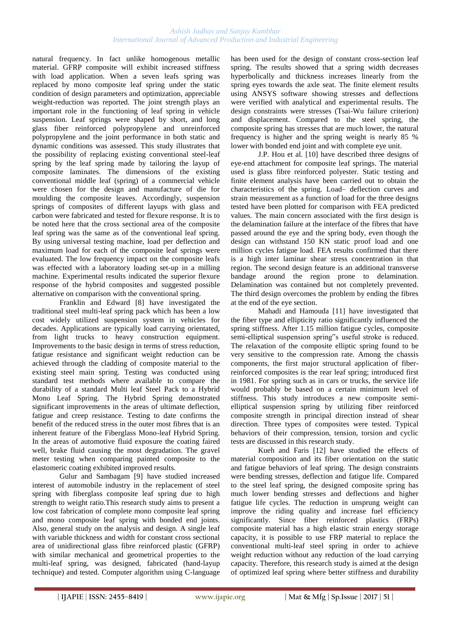#### *Ashish Jadhav and Sanjay Kumbhar International Journal of Advanced Production and Industrial Engineering*

natural frequency. In fact unlike homogenous metallic material. GFRP composite will exhibit increased stiffness with load application. When a seven leafs spring was replaced by mono composite leaf spring under the static condition of design parameters and optimization, appreciable weight-reduction was reported. The joint strength plays an important role in the functioning of leaf spring in vehicle suspension. Leaf springs were shaped by short, and long glass fiber reinforced polypropylene and unreinforced polypropylene and the joint performance in both static and dynamic conditions was assessed. This study illustrates that the possibility of replacing existing conventional steel-leaf spring by the leaf spring made by tailoring the layup of composite laminates. The dimensions of the existing conventional middle leaf (spring) of a commercial vehicle were chosen for the design and manufacture of die for moulding the composite leaves. Accordingly, suspension springs of composites of different layups with glass and carbon were fabricated and tested for flexure response. It is to be noted here that the cross sectional area of the composite leaf spring was the same as of the conventional leaf spring. By using universal testing machine, load per deflection and maximum load for each of the composite leaf springs were evaluated. The low frequency impact on the composite leafs was effected with a laboratory loading set-up in a milling machine. Experimental results indicated the superior flexure response of the hybrid composites and suggested possible alternative on comparison with the conventional spring.

Franklin and Edward [8] have investigated the traditional steel multi-leaf spring pack which has been a low cost widely utilized suspension system in vehicles for decades. Applications are typically load carrying orientated, from light trucks to heavy construction equipment. Improvements to the basic design in terms of stress reduction, fatigue resistance and significant weight reduction can be achieved through the cladding of composite material to the existing steel main spring. Testing was conducted using standard test methods where available to compare the durability of a standard Multi leaf Steel Pack to a Hybrid Mono Leaf Spring. The Hybrid Spring demonstrated significant improvements in the areas of ultimate deflection, fatigue and creep resistance. Testing to date confirms the benefit of the reduced stress in the outer most fibres that is an inherent feature of the Fiberglass Mono-leaf Hybrid Spring. In the areas of automotive fluid exposure the coating faired well, brake fluid causing the most degradation. The gravel meter testing when comparing painted composite to the elastomeric coating exhibited improved results.

Gulur and Sambagam [9] have studied increased interest of automobile industry in the replacement of steel spring with fiberglass composite leaf spring due to high strength to weight ratio.This research study aims to present a low cost fabrication of complete mono composite leaf spring and mono composite leaf spring with bonded end joints. Also, general study on the analysis and design. A single leaf with variable thickness and width for constant cross sectional area of unidirectional glass fibre reinforced plastic (GFRP) with similar mechanical and geometrical properties to the multi-leaf spring, was designed, fabricated (hand-layup technique) and tested. Computer algorithm using C-language

has been used for the design of constant cross-section leaf spring. The results showed that a spring width decreases hyperbolically and thickness increases linearly from the spring eyes towards the axle seat. The finite element results using ANSYS software showing stresses and deflections were verified with analytical and experimental results. The design constraints were stresses (Tsai-Wu failure criterion) and displacement. Compared to the steel spring, the composite spring has stresses that are much lower, the natural frequency is higher and the spring weight is nearly 85 % lower with bonded end joint and with complete eye unit.

J.P. Hou et al. [10] have described three designs of eye-end attachment for composite leaf springs. The material used is glass fibre reinforced polyester. Static testing and finite element analysis have been carried out to obtain the characteristics of the spring. Load– deflection curves and strain measurement as a function of load for the three designs tested have been plotted for comparison with FEA predicted values. The main concern associated with the first design is the delamination failure at the interface of the fibres that have passed around the eye and the spring body, even though the design can withstand 150 KN static proof load and one million cycles fatigue load. FEA results confirmed that there is a high inter laminar shear stress concentration in that region. The second design feature is an additional transverse bandage around the region prone to delamination. Delamination was contained but not completely prevented. The third design overcomes the problem by ending the fibres at the end of the eye section.

Mahadi and Hamouda [11] have investigated that the fiber type and ellipticity ratio significantly influenced the spring stiffness. After 1.15 million fatigue cycles, composite semi-elliptical suspension spring"s useful stroke is reduced. The relaxation of the composite elliptic spring found to be very sensitive to the compression rate. Among the chassis components, the first major structural application of fiberreinforced composites is the rear leaf spring; introduced first in 1981. For spring such as in cars or trucks, the service life would probably be based on a certain minimum level of stiffness. This study introduces a new composite semielliptical suspension spring by utilizing fiber reinforced composite strength in principal direction instead of shear direction. Three types of composites were tested. Typical behaviors of their compression, tension, torsion and cyclic tests are discussed in this research study.

Kueh and Faris [12] have studied the effects of material composition and its fiber orientation on the static and fatigue behaviors of leaf spring. The design constraints were bending stresses, deflection and fatigue life. Compared to the steel leaf spring, the designed composite spring has much lower bending stresses and deflections and higher fatigue life cycles. The reduction in unsprung weight can improve the riding quality and increase fuel efficiency significantly. Since fiber reinforced plastics (FRPs) composite material has a high elastic strain energy storage capacity, it is possible to use FRP material to replace the conventional multi-leaf steel spring in order to achieve weight reduction without any reduction of the load carrying capacity. Therefore, this research study is aimed at the design of optimized leaf spring where better stiffness and durability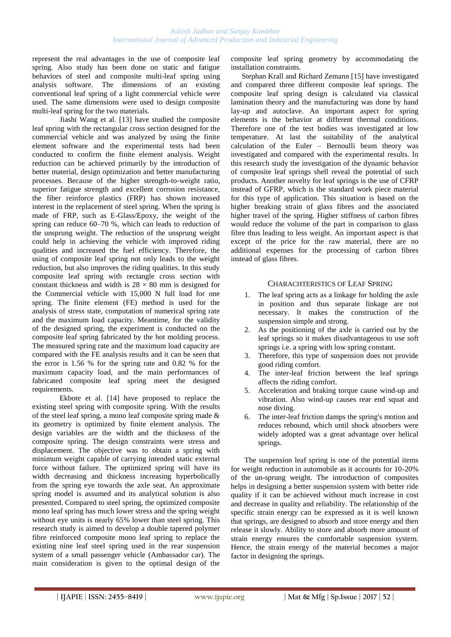represent the real advantages in the use of composite leaf spring. Also study has been done on static and fatigue behaviors of steel and composite multi-leaf spring using analysis software. The dimensions of an existing conventional leaf spring of a light commercial vehicle were used. The same dimensions were used to design composite multi-leaf spring for the two materials.

Jiashi Wang et al. [13] have studied the composite leaf spring with the rectangular cross section designed for the commercial vehicle and was analyzed by using the finite element software and the experimental tests had been conducted to confirm the finite element analysis. Weight reduction can be achieved primarily by the introduction of better material, design optimization and better manufacturing processes. Because of the higher strength-to-weight ratio, superior fatigue strength and excellent corrosion resistance, the fiber reinforce plastics (FRP) has shown increased interest in the replacement of steel spring. When the spring is made of FRP, such as E-Glass/Epoxy, the weight of the spring can reduce 60–70 %, which can leads to reduction of the unsprung weight. The reduction of the unsprung weight could help in achieving the vehicle with improved riding qualities and increased the fuel efficiency. Therefore, the using of composite leaf spring not only leads to the weight reduction, but also improves the riding qualities. In this study composite leaf spring with rectangle cross section with constant thickness and width is  $28 \times 80$  mm is designed for the Commercial vehicle with 15,000 N full load for one spring. The finite element (FE) method is used for the analysis of stress state, computation of numerical spring rate and the maximum load capacity. Meantime, for the validity of the designed spring, the experiment is conducted on the composite leaf spring fabricated by the hot molding process. The measured spring rate and the maximum load capacity are compared with the FE analysis results and it can be seen that the error is 1.56 % for the spring rate and 0.82 % for the maximum capacity load, and the main performances of fabricated composite leaf spring meet the designed requirements.

Ekbote et al. [14] have proposed to replace the existing steel spring with composite spring. With the results of the steel leaf spring, a mono leaf composite spring made & its geometry is optimized by finite element analysis. The design variables are the width and the thickness of the composite spring. The design constraints were stress and displacement. The objective was to obtain a spring with minimum weight capable of carrying intended static external force without failure. The optimized spring will have its width decreasing and thickness increasing hyperbolically from the spring eye towards the axle seat. An approximate spring model is assumed and its analytical solution is also presented. Compared to steel spring, the optimized composite mono leaf spring has much lower stress and the spring weight without eye units is nearly 65% lower than steel spring. This research study is aimed to develop a double tapered polymer fibre reinforced composite mono leaf spring to replace the existing nine leaf steel spring used in the rear suspension system of a small passenger vehicle (Ambassador car). The main consideration is given to the optimal design of the

composite leaf spring geometry by accommodating the installation constraints.

Stephan Krall and Richard Zemann [15] have investigated and compared three different composite leaf springs. The composite leaf spring design is calculated via classical lamination theory and the manufacturing was done by hand lay-up and autoclave. An important aspect for spring elements is the behavior at different thermal conditions. Therefore one of the test bodies was investigated at low temperature. At last the suitability of the analytical calculation of the Euler – Bernoulli beam theory was investigated and compared with the experimental results. In this research study the investigation of the dynamic behavior of composite leaf springs shell reveal the potential of such products. Another novelty for leaf springs is the use of CFRP instead of GFRP, which is the standard work piece material for this type of application. This situation is based on the higher breaking strain of glass fibres and the associated higher travel of the spring. Higher stiffness of carbon fibres would reduce the volume of the part in comparison to glass fibre thus leading to less weight. An important aspect is that except of the price for the raw material, there are no additional expenses for the processing of carbon fibres instead of glass fibres.

## CHARACHTERISTICS OF LEAF SPRING

- 1. The leaf spring acts as a linkage for holding the axle in position and thus separate linkage are not necessary. It makes the construction of the suspension simple and strong.
- 2. As the positioning of the axle is carried out by the leaf springs so it makes disadvantageous to use soft springs i.e. a spring with low spring constant.
- 3. Therefore, this type of suspension does not provide good riding comfort.
- 4. The inter-leaf friction between the leaf springs affects the riding comfort.
- 5. Acceleration and braking torque cause wind-up and vibration. Also wind-up causes rear end squat and nose diving.
- 6. The inter-leaf friction damps the spring's motion and reduces rebound, which until shock absorbers were widely adopted was a great advantage over helical springs.

The suspension leaf spring is one of the potential items for weight reduction in automobile as it accounts for 10-20% of the un-sprung weight. The introduction of composites helps in designing a better suspension system with better ride quality if it can be achieved without much increase in cost and decrease in quality and reliability. The relationship of the specific strain energy can be expressed as it is well known that springs, are designed to absorb and store energy and then release it slowly. Ability to store and absorb more amount of strain energy ensures the comfortable suspension system. Hence, the strain energy of the material becomes a major factor in designing the springs.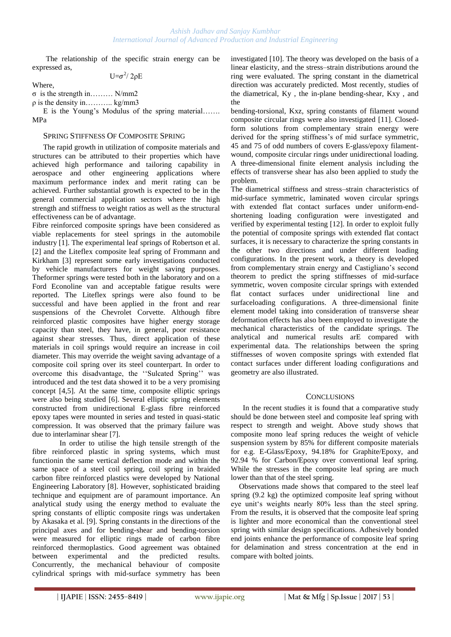The relationship of the specific strain energy can be expressed as,

U= $\sigma^2$ / 2ρE

Where,

σ is the strength in……… N/mm2

 $\rho$  is the density in……….. kg/mm3

E is the Young"s Modulus of the spring material……. MPa

#### SPRING STIFFNESS OF COMPOSITE SPRING

The rapid growth in utilization of composite materials and structures can be attributed to their properties which have achieved high performance and tailoring capability in aerospace and other engineering applications where maximum performance index and merit rating can be achieved. Further substantial growth is expected to be in the general commercial application sectors where the high strength and stiffness to weight ratios as well as the structural effectiveness can be of advantage.

Fibre reinforced composite springs have been considered as viable replacements for steel springs in the automobile industry [1]. The experimental leaf springs of Robertson et al. [2] and the Liteflex composite leaf spring of Frommann and Kirkham [3] represent some early investigations conducted by vehicle manufacturers for weight saving purposes. Theformer springs were tested both in the laboratory and on a Ford Econoline van and acceptable fatigue results were reported. The Liteflex springs were also found to be successful and have been applied in the front and rear suspensions of the Chevrolet Corvette. Although fibre reinforced plastic composites have higher energy storage capacity than steel, they have, in general, poor resistance against shear stresses. Thus, direct application of these materials in coil springs would require an increase in coil diameter. This may override the weight saving advantage of a composite coil spring over its steel counterpart. In order to overcome this disadvantage, the ""Sulcated Spring"" was introduced and the test data showed it to be a very promising concept [4,5]. At the same time, composite elliptic springs were also being studied [6]. Several elliptic spring elements constructed from unidirectional E-glass fibre reinforced epoxy tapes were mounted in series and tested in quasi-static compression. It was observed that the primary failure was due to interlaminar shear [7].

In order to utilise the high tensile strength of the fibre reinforced plastic in spring systems, which must functionin the same vertical deflection mode and within the same space of a steel coil spring, coil spring in braided carbon fibre reinforced plastics were developed by National Engineering Laboratory [8]. However, sophisticated braiding technique and equipment are of paramount importance. An analytical study using the energy method to evaluate the spring constants of elliptic composite rings was undertaken by Akasaka et al. [9]. Spring constants in the directions of the principal axes and for bending-shear and bending-torsion were measured for elliptic rings made of carbon fibre reinforced thermoplastics. Good agreement was obtained between experimental and the predicted results. Concurrently, the mechanical behaviour of composite cylindrical springs with mid-surface symmetry has been investigated [10]. The theory was developed on the basis of a linear elasticity, and the stress–strain distributions around the ring were evaluated. The spring constant in the diametrical direction was accurately predicted. Most recently, studies of the diametrical, Ky , the in-plane bending-shear, Kxy , and the

bending-torsional, Kxz, spring constants of filament wound composite circular rings were also investigated [11]. Closedform solutions from complementary strain energy were derived for the spring stiffness's of mid surface symmetric, 45 and 75 of odd numbers of covers E-glass/epoxy filamentwound, composite circular rings under unidirectional loading. A three-dimensional finite element analysis including the effects of transverse shear has also been applied to study the problem.

The diametrical stiffness and stress–strain characteristics of mid-surface symmetric, laminated woven circular springs with extended flat contact surfaces under uniform-endshortening loading configuration were investigated and verified by experimental testing [12]. In order to exploit fully the potential of composite springs with extended flat contact surfaces, it is necessary to characterize the spring constants in the other two directions and under different loading configurations. In the present work, a theory is developed from complementary strain energy and Castigliano"s second theorem to predict the spring stiffnesses of mid-surface symmetric, woven composite circular springs with extended flat contact surfaces under unidirectional line and surfaceloading configurations. A three-dimensional finite element model taking into consideration of transverse shear deformation effects has also been employed to investigate the mechanical characteristics of the candidate springs. The analytical and numerical results arE compared with experimental data. The relationships between the spring stiffnesses of woven composite springs with extended flat contact surfaces under different loading configurations and geometry are also illustrated.

### **CONCLUSIONS**

 In the recent studies it is found that a comparative study should be done between steel and composite leaf spring with respect to strength and weight. Above study shows that composite mono leaf spring reduces the weight of vehicle suspension system by 85% for different composite materials for e.g. E-Glass/Epoxy, 94.18% for Graphite/Epoxy, and 92.94 % for Carbon/Epoxy over conventional leaf spring. While the stresses in the composite leaf spring are much lower than that of the steel spring.

Observations made shows that compared to the steel leaf spring (9.2 kg) the optimized composite leaf spring without eye unit"s weights nearly 80% less than the steel spring. From the results, it is observed that the composite leaf spring is lighter and more economical than the conventional steel spring with similar design specifications. Adhesively bonded end joints enhance the performance of composite leaf spring for delamination and stress concentration at the end in compare with bolted joints.